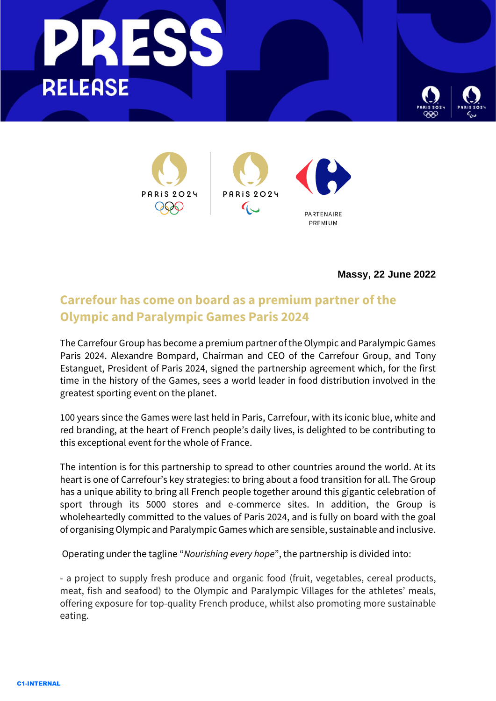





**Massy, 22 June 2022**

## **Carrefour has come on board as a premium partner of the Olympic and Paralympic Games Paris 2024**

The Carrefour Group has become a premium partner of the Olympic and Paralympic Games Paris 2024. Alexandre Bompard, Chairman and CEO of the Carrefour Group, and Tony Estanguet, President of Paris 2024, signed the partnership agreement which, for the first time in the history of the Games, sees a world leader in food distribution involved in the greatest sporting event on the planet.

100 years since the Games were last held in Paris, Carrefour, with its iconic blue, white and red branding, at the heart of French people's daily lives, is delighted to be contributing to this exceptional event for the whole of France.

The intention is for this partnership to spread to other countries around the world. At its heart is one of Carrefour's key strategies: to bring about a food transition for all. The Group has a unique ability to bring all French people together around this gigantic celebration of sport through its 5000 stores and e-commerce sites. In addition, the Group is wholeheartedly committed to the values of Paris 2024, and is fully on board with the goal of organising Olympic and Paralympic Games which are sensible, sustainable and inclusive.

Operating under the tagline "*Nourishing every hope*", the partnership is divided into:

- a project to supply fresh produce and organic food (fruit, vegetables, cereal products, meat, fish and seafood) to the Olympic and Paralympic Villages for the athletes' meals, offering exposure for top-quality French produce, whilst also promoting more sustainable eating.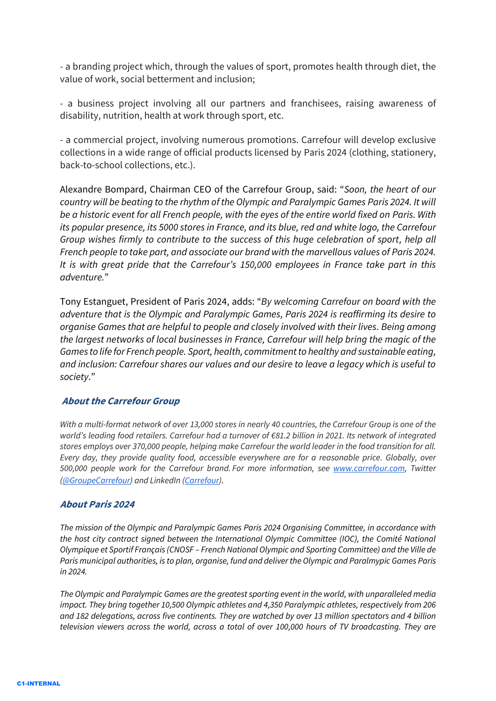- a branding project which, through the values of sport, promotes health through diet, the value of work, social betterment and inclusion;

- a business project involving all our partners and franchisees, raising awareness of disability, nutrition, health at work through sport, etc.

- a commercial project, involving numerous promotions. Carrefour will develop exclusive collections in a wide range of official products licensed by Paris 2024 (clothing, stationery, back-to-school collections, etc.).

Alexandre Bompard, Chairman CEO of the Carrefour Group, said: "*Soon, the heart of our country will be beating to the rhythm of the Olympic and Paralympic Games Paris 2024. It will be a historic event for all French people, with the eyes of the entire world fixed on Paris. With its popular presence, its 5000 stores in France, and its blue, red and white logo, the Carrefour Group wishes firmly to contribute to the success of this huge celebration of sport, help all French people to take part, and associate our brand with the marvellous values of Paris 2024. It is with great pride that the Carrefour's 150,000 employees in France take part in this adventure.*"

Tony Estanguet, President of Paris 2024, adds: "*By welcoming Carrefour on board with the adventure that is the Olympic and Paralympic Games, Paris 2024 is reaffirming its desire to organise Games that are helpful to people and closely involved with their lives. Being among the largest networks of local businesses in France, Carrefour will help bring the magic of the Games to life for French people. Sport, health, commitment to healthy and sustainable eating, and inclusion: Carrefour shares our values and our desire to leave a legacy which is useful to society*."

## **About the Carrefour Group**

*With a multi-format network of over 13,000 stores in nearly 40 countries, the Carrefour Group is one of the world's leading food retailers. Carrefour had a turnover of €81.2 billion in 2021. Its network of integrated stores employs over 370,000 people, helping make Carrefour the world leader in the food transition for all. Every day, they provide quality food, accessible everywhere are for a reasonable price. Globally, over 500,000 people work for the Carrefour brand. For more information, see [www.carrefour.com,](http://www.carrefour.com/) Twitter [\(@GroupeCarrefour\)](https://twitter.com/groupecarrefour) and LinkedIn [\(Carrefour\)](https://www.linkedin.com/company/carrefour/?originalSubdomain=fr).*

## **About Paris 2024**

*The mission of the Olympic and Paralympic Games Paris 2024 Organising Committee, in accordance with the host city contract signed between the International Olympic Committee (IOC), the Comité National Olympique et Sportif Français (CNOSF – French National Olympic and Sporting Committee) and the Ville de Paris municipal authorities, is to plan, organise, fund and deliver the Olympic and Paralmypic Games Paris in 2024.* 

*The Olympic and Paralympic Games are the greatest sporting event in the world, with unparalleled media impact. They bring together 10,500 Olympic athletes and 4,350 Paralympic athletes, respectively from 206 and 182 delegations, across five continents. They are watched by over 13 million spectators and 4 billion television viewers across the world, across a total of over 100,000 hours of TV broadcasting. They are*